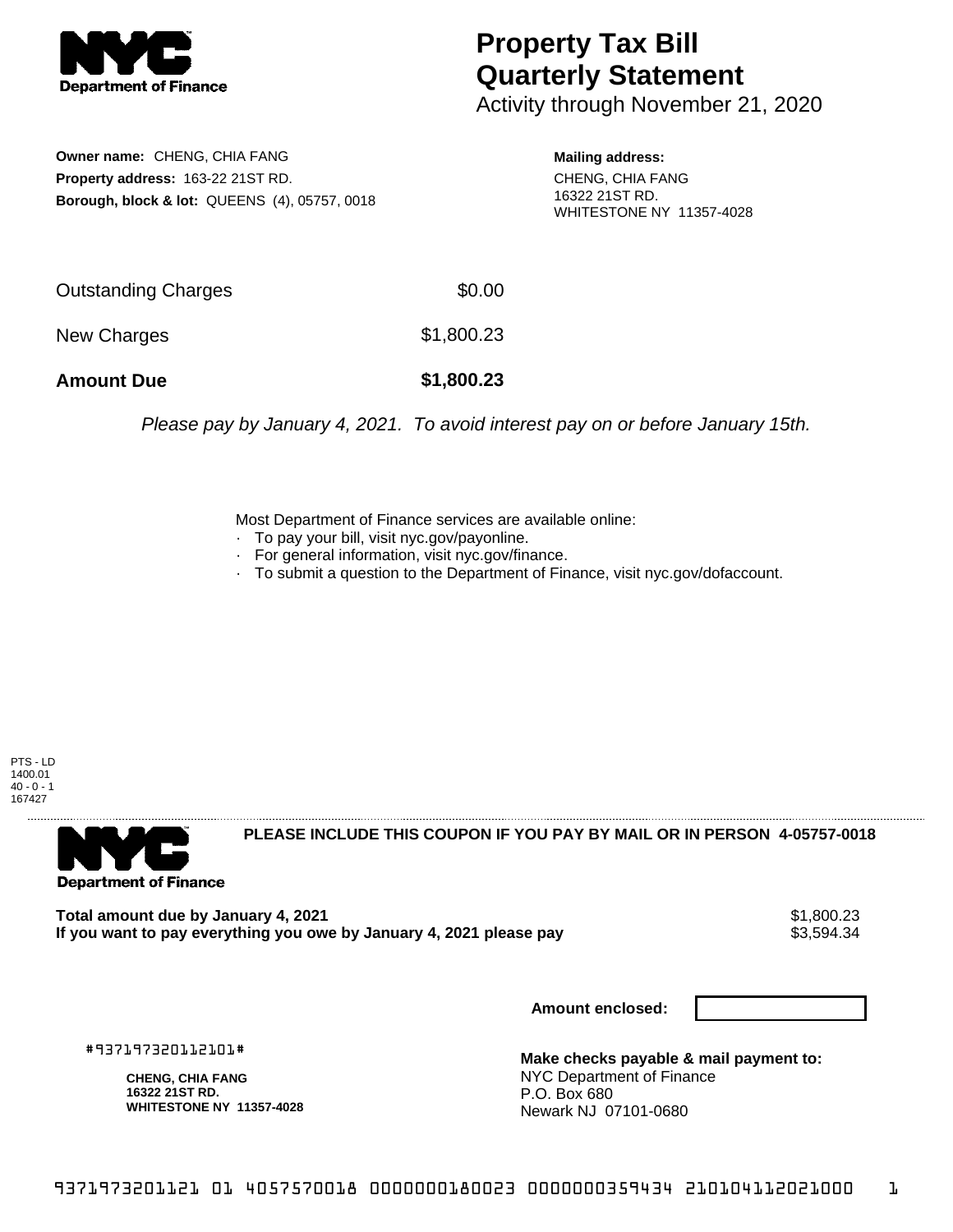

## **Property Tax Bill Quarterly Statement**

Activity through November 21, 2020

**Owner name:** CHENG, CHIA FANG **Property address:** 163-22 21ST RD. **Borough, block & lot:** QUEENS (4), 05757, 0018

**Mailing address:** CHENG, CHIA FANG

16322 21ST RD. WHITESTONE NY 11357-4028

| <b>Amount Due</b>   | \$1,800.23 |
|---------------------|------------|
| New Charges         | \$1,800.23 |
| Outstanding Charges | \$0.00     |

Please pay by January 4, 2021. To avoid interest pay on or before January 15th.

Most Department of Finance services are available online:

- · To pay your bill, visit nyc.gov/payonline.
- For general information, visit nyc.gov/finance.
- · To submit a question to the Department of Finance, visit nyc.gov/dofaccount.

PTS - LD 1400.01  $40 - 0 - 1$ 167427



**PLEASE INCLUDE THIS COUPON IF YOU PAY BY MAIL OR IN PERSON 4-05757-0018** 

**Total amount due by January 4, 2021**<br>If you want to pay everything you owe by January 4, 2021 please pay **show that the summer way of the s**3,594.34 If you want to pay everything you owe by January 4, 2021 please pay

**Amount enclosed:**

#937197320112101#

**CHENG, CHIA FANG 16322 21ST RD. WHITESTONE NY 11357-4028**

**Make checks payable & mail payment to:** NYC Department of Finance P.O. Box 680 Newark NJ 07101-0680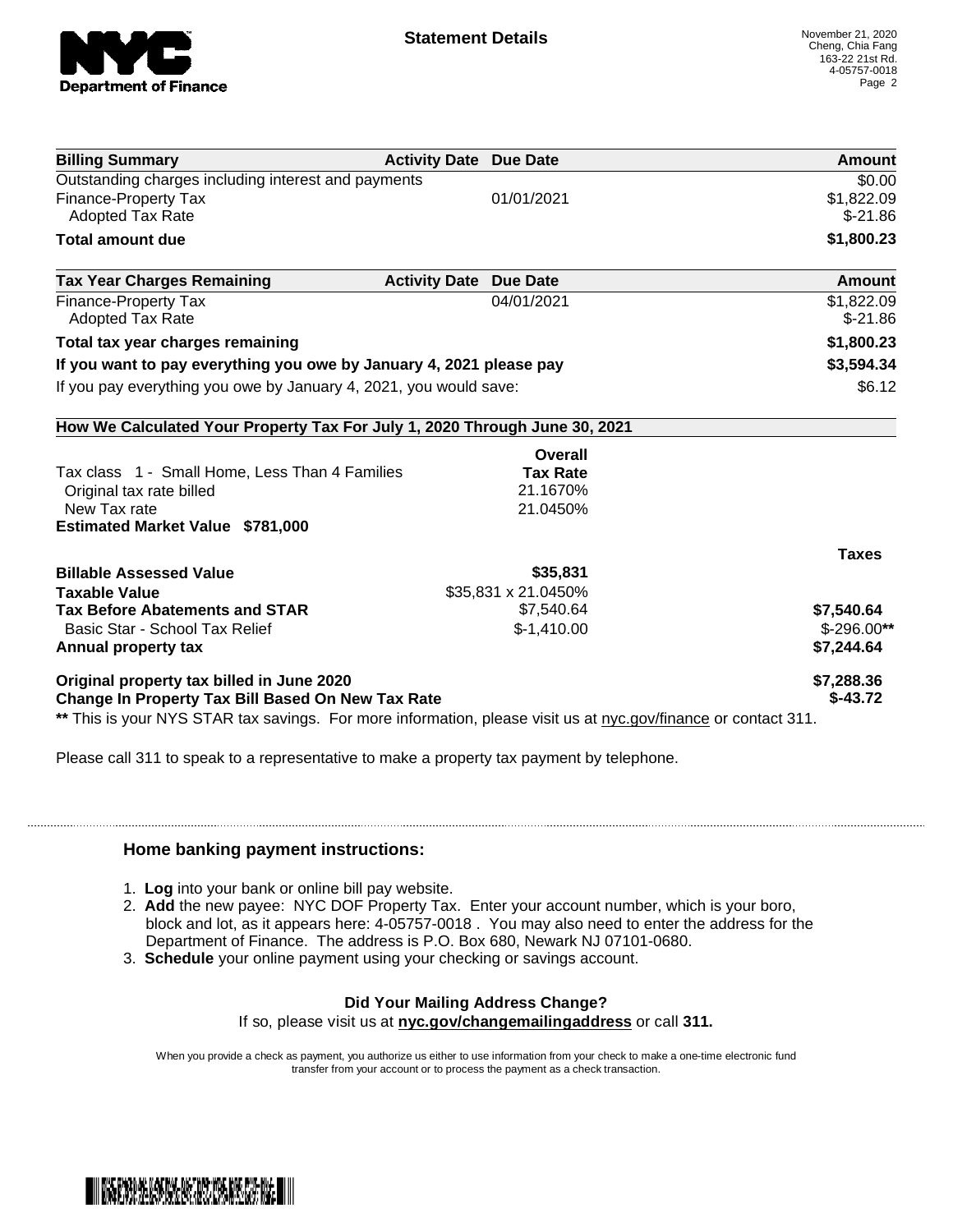

| <b>Billing Summary</b>                                                                                         | <b>Activity Date Due Date</b> |                     | Amount       |
|----------------------------------------------------------------------------------------------------------------|-------------------------------|---------------------|--------------|
| Outstanding charges including interest and payments                                                            | \$0.00                        |                     |              |
| <b>Finance-Property Tax</b>                                                                                    |                               | 01/01/2021          | \$1,822.09   |
| <b>Adopted Tax Rate</b>                                                                                        |                               |                     | $$-21.86$    |
| <b>Total amount due</b>                                                                                        |                               |                     | \$1,800.23   |
| <b>Tax Year Charges Remaining</b>                                                                              | <b>Activity Date Due Date</b> |                     | Amount       |
| <b>Finance-Property Tax</b>                                                                                    |                               | 04/01/2021          | \$1,822.09   |
| <b>Adopted Tax Rate</b>                                                                                        |                               |                     | $$-21.86$    |
| Total tax year charges remaining                                                                               |                               |                     | \$1,800.23   |
| If you want to pay everything you owe by January 4, 2021 please pay                                            |                               |                     | \$3,594.34   |
| If you pay everything you owe by January 4, 2021, you would save:                                              |                               |                     | \$6.12       |
| How We Calculated Your Property Tax For July 1, 2020 Through June 30, 2021                                     |                               |                     |              |
|                                                                                                                |                               | Overall             |              |
| Tax class 1 - Small Home, Less Than 4 Families                                                                 |                               | <b>Tax Rate</b>     |              |
| Original tax rate billed                                                                                       |                               | 21.1670%            |              |
| New Tax rate                                                                                                   |                               | 21.0450%            |              |
| <b>Estimated Market Value \$781,000</b>                                                                        |                               |                     |              |
|                                                                                                                |                               |                     | <b>Taxes</b> |
| <b>Billable Assessed Value</b>                                                                                 |                               | \$35,831            |              |
| <b>Taxable Value</b>                                                                                           |                               | \$35,831 x 21.0450% |              |
| <b>Tax Before Abatements and STAR</b>                                                                          |                               | \$7,540.64          | \$7,540.64   |
| Basic Star - School Tax Relief                                                                                 |                               | $$-1,410.00$        | $$-296.00**$ |
| Annual property tax                                                                                            |                               |                     | \$7,244.64   |
| Original property tax billed in June 2020                                                                      |                               |                     | \$7,288.36   |
| Change In Property Tax Bill Based On New Tax Rate                                                              |                               |                     | $$-43.72$    |
| ** This is your NYS STAR tax savings. For more information, please visit us at nyc.gov/finance or contact 311. |                               |                     |              |

Please call 311 to speak to a representative to make a property tax payment by telephone.

## **Home banking payment instructions:**

- 1. **Log** into your bank or online bill pay website.
- 2. **Add** the new payee: NYC DOF Property Tax. Enter your account number, which is your boro, block and lot, as it appears here: 4-05757-0018 . You may also need to enter the address for the Department of Finance. The address is P.O. Box 680, Newark NJ 07101-0680.
- 3. **Schedule** your online payment using your checking or savings account.

## **Did Your Mailing Address Change?**

If so, please visit us at **nyc.gov/changemailingaddress** or call **311.**

When you provide a check as payment, you authorize us either to use information from your check to make a one-time electronic fund transfer from your account or to process the payment as a check transaction.